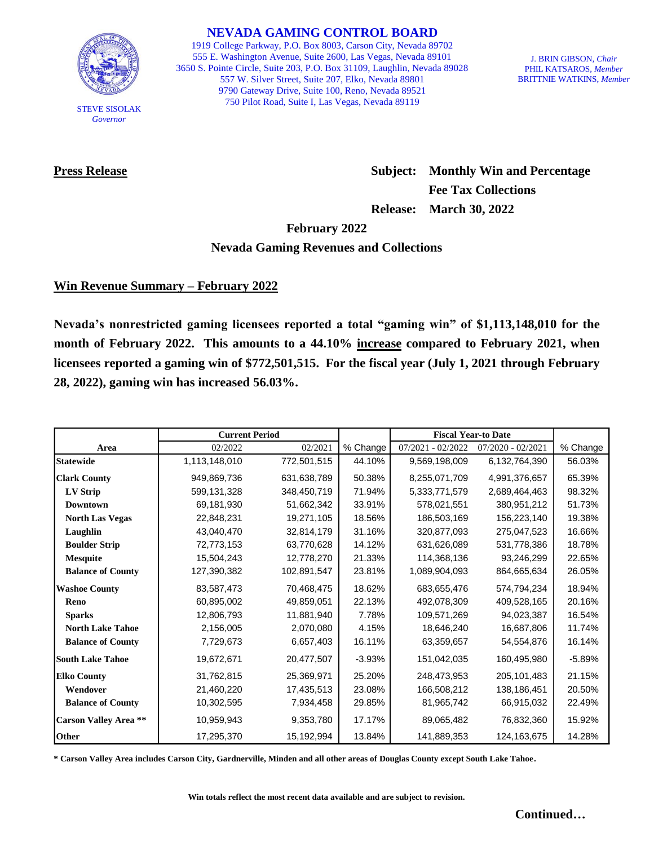

STEVE SISOLAK *Governor*

**NEVADA GAMING CONTROL BOARD**

1919 College Parkway, P.O. Box 8003, Carson City, Nevada 89702 555 E. Washington Avenue, Suite 2600, Las Vegas, Nevada 89101 3650 S. Pointe Circle, Suite 203, P.O. Box 31109, Laughlin, Nevada 89028 557 W. Silver Street, Suite 207, Elko, Nevada 89801 9790 Gateway Drive, Suite 100, Reno, Nevada 89521 750 Pilot Road, Suite I, Las Vegas, Nevada 89119

J. BRIN GIBSON, *Chair* PHIL KATSAROS, *Member* BRITTNIE WATKINS, *Member*

**Press Release Subject: Monthly Win and Percentage Fee Tax Collections Release: March 30, 2022**

**February 2022**

## **Nevada Gaming Revenues and Collections**

# **Win Revenue Summary – February 2022**

**Nevada's nonrestricted gaming licensees reported a total "gaming win" of \$1,113,148,010 for the month of February 2022. This amounts to a 44.10% increase compared to February 2021, when licensees reported a gaming win of \$772,501,515. For the fiscal year (July 1, 2021 through February 28, 2022), gaming win has increased 56.03%.** 

|                              | <b>Current Period</b> |             |          | <b>Fiscal Year-to Date</b> |                     |          |
|------------------------------|-----------------------|-------------|----------|----------------------------|---------------------|----------|
| Area                         | 02/2022               | 02/2021     | % Change | $07/2021 - 02/2022$        | $07/2020 - 02/2021$ | % Change |
| <b>Statewide</b>             | 1,113,148,010         | 772,501,515 | 44.10%   | 9,569,198,009              | 6,132,764,390       | 56.03%   |
| <b>Clark County</b>          | 949,869,736           | 631,638,789 | 50.38%   | 8,255,071,709              | 4,991,376,657       | 65.39%   |
| LV Strip                     | 599,131,328           | 348,450,719 | 71.94%   | 5,333,771,579              | 2,689,464,463       | 98.32%   |
| <b>Downtown</b>              | 69,181,930            | 51,662,342  | 33.91%   | 578,021,551                | 380,951,212         | 51.73%   |
| <b>North Las Vegas</b>       | 22,848,231            | 19,271,105  | 18.56%   | 186,503,169                | 156,223,140         | 19.38%   |
| Laughlin                     | 43,040,470            | 32,814,179  | 31.16%   | 320,877,093                | 275,047,523         | 16.66%   |
| <b>Boulder Strip</b>         | 72,773,153            | 63,770,628  | 14.12%   | 631,626,089                | 531,778,386         | 18.78%   |
| <b>Mesquite</b>              | 15,504,243            | 12,778,270  | 21.33%   | 114,368,136                | 93,246,299          | 22.65%   |
| <b>Balance of County</b>     | 127,390,382           | 102,891,547 | 23.81%   | 1,089,904,093              | 864,665,634         | 26.05%   |
| <b>Washoe County</b>         | 83,587,473            | 70,468,475  | 18.62%   | 683,655,476                | 574,794,234         | 18.94%   |
| Reno                         | 60,895,002            | 49,859,051  | 22.13%   | 492,078,309                | 409,528,165         | 20.16%   |
| <b>Sparks</b>                | 12,806,793            | 11,881,940  | 7.78%    | 109,571,269                | 94,023,387          | 16.54%   |
| <b>North Lake Tahoe</b>      | 2,156,005             | 2,070,080   | 4.15%    | 18,646,240                 | 16,687,806          | 11.74%   |
| <b>Balance of County</b>     | 7,729,673             | 6,657,403   | 16.11%   | 63,359,657                 | 54,554,876          | 16.14%   |
| <b>South Lake Tahoe</b>      | 19,672,671            | 20,477,507  | $-3.93%$ | 151,042,035                | 160,495,980         | $-5.89%$ |
| <b>Elko County</b>           | 31,762,815            | 25,369,971  | 25.20%   | 248,473,953                | 205,101,483         | 21.15%   |
| Wendover                     | 21,460,220            | 17,435,513  | 23.08%   | 166,508,212                | 138,186,451         | 20.50%   |
| <b>Balance of County</b>     | 10,302,595            | 7,934,458   | 29.85%   | 81,965,742                 | 66,915,032          | 22.49%   |
| <b>Carson Valley Area **</b> | 10,959,943            | 9,353,780   | 17.17%   | 89,065,482                 | 76,832,360          | 15.92%   |
| Other                        | 17,295,370            | 15,192,994  | 13.84%   | 141,889,353                | 124,163,675         | 14.28%   |

**\* Carson Valley Area includes Carson City, Gardnerville, Minden and all other areas of Douglas County except South Lake Tahoe.**

**Win totals reflect the most recent data available and are subject to revision.**

**Continued…**